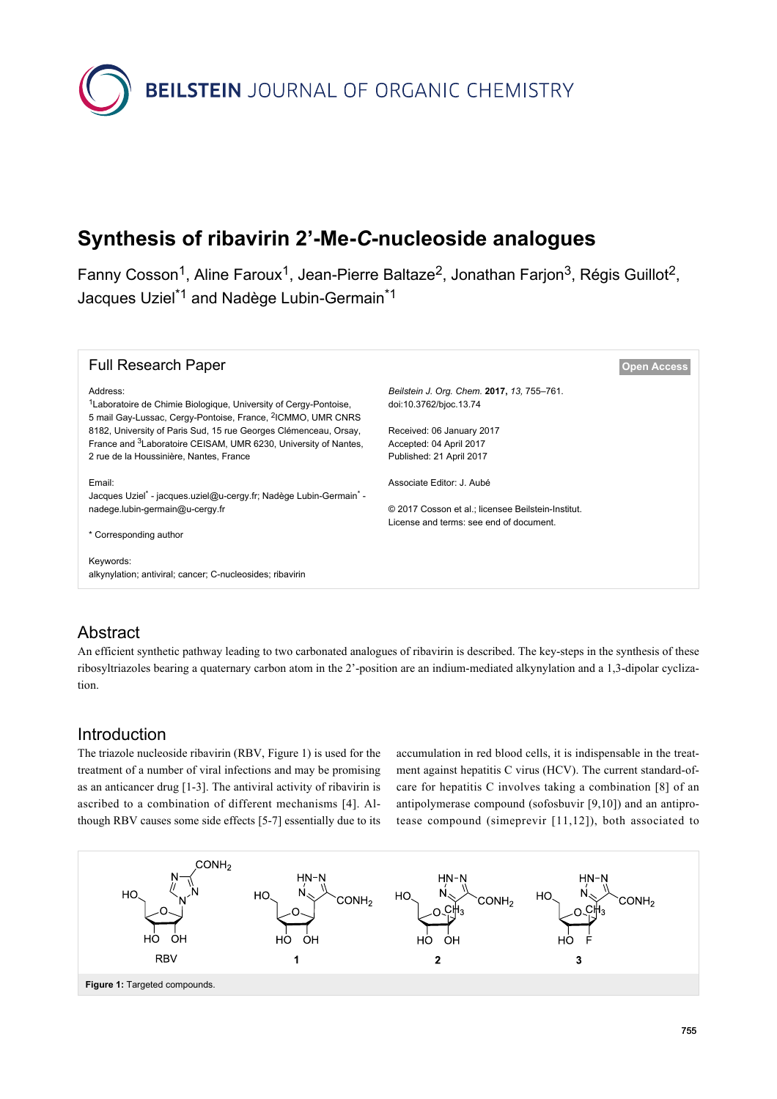

# **Synthesis of ribavirin 2'-Me-***C***-nucleoside analogues**

Fanny Cosson<sup>1</sup>, Aline Faroux<sup>1</sup>, Jean-Pierre Baltaze<sup>2</sup>, Jonathan Farjon<sup>3</sup>, Régis Guillot<sup>2</sup>, Jacques Uziel<sup>\*1</sup> and Nadège Lubin-Germain<sup>\*1</sup>

| <b>Full Research Paper</b>                                                                                                                                                                                                                                                                                                                                        |                                                                                                                                                          | <b>Open Access</b> |
|-------------------------------------------------------------------------------------------------------------------------------------------------------------------------------------------------------------------------------------------------------------------------------------------------------------------------------------------------------------------|----------------------------------------------------------------------------------------------------------------------------------------------------------|--------------------|
| Address:<br><sup>1</sup> Laboratoire de Chimie Biologique, University of Cergy-Pontoise,<br>5 mail Gay-Lussac, Cergy-Pontoise, France, <sup>2</sup> ICMMO, UMR CNRS<br>8182, University of Paris Sud, 15 rue Georges Clémenceau, Orsay,<br>France and <sup>3</sup> Laboratoire CEISAM, UMR 6230, University of Nantes,<br>2 rue de la Houssinière, Nantes, France | Beilstein J. Org. Chem. 2017, 13, 755-761.<br>doi:10.3762/bjoc.13.74<br>Received: 06 January 2017<br>Accepted: 04 April 2017<br>Published: 21 April 2017 |                    |
| Email:<br>Jacques Uziel* - jacques.uziel@u-cergy.fr; Nadège Lubin-Germain* -<br>nadege.lubin-germain@u-cergy.fr<br>* Corresponding author                                                                                                                                                                                                                         | Associate Editor: J. Aubé<br>© 2017 Cosson et al.: licensee Beilstein-Institut.<br>License and terms: see end of document.                               |                    |
| Keywords:<br>alkynylation; antiviral; cancer; C-nucleosides; ribavirin                                                                                                                                                                                                                                                                                            |                                                                                                                                                          |                    |

# Abstract

An efficient synthetic pathway leading to two carbonated analogues of ribavirin is described. The key-steps in the synthesis of these ribosyltriazoles bearing a quaternary carbon atom in the 2'-position are an indium-mediated alkynylation and a 1,3-dipolar cyclization.

## Introduction

The triazole nucleoside ribavirin (RBV, [Figure 1](#page-0-0)) is used for the treatment of a number of viral infections and may be promising as an anticancer drug [\[1-3\].](#page-5-0) The antiviral activity of ribavirin is ascribed to a combination of different mechanisms [\[4\]](#page-6-0). Although RBV causes some side effects [\[5-7\]](#page-6-1) essentially due to its accumulation in red blood cells, it is indispensable in the treatment against hepatitis C virus (HCV). The current standard-ofcare for hepatitis C involves taking a combination [\[8\]](#page-6-2) of an antipolymerase compound (sofosbuvir [\[9,10\]\)](#page-6-3) and an antiprotease compound (simeprevir [\[11,12\]](#page-6-4)), both associated to

<span id="page-0-0"></span>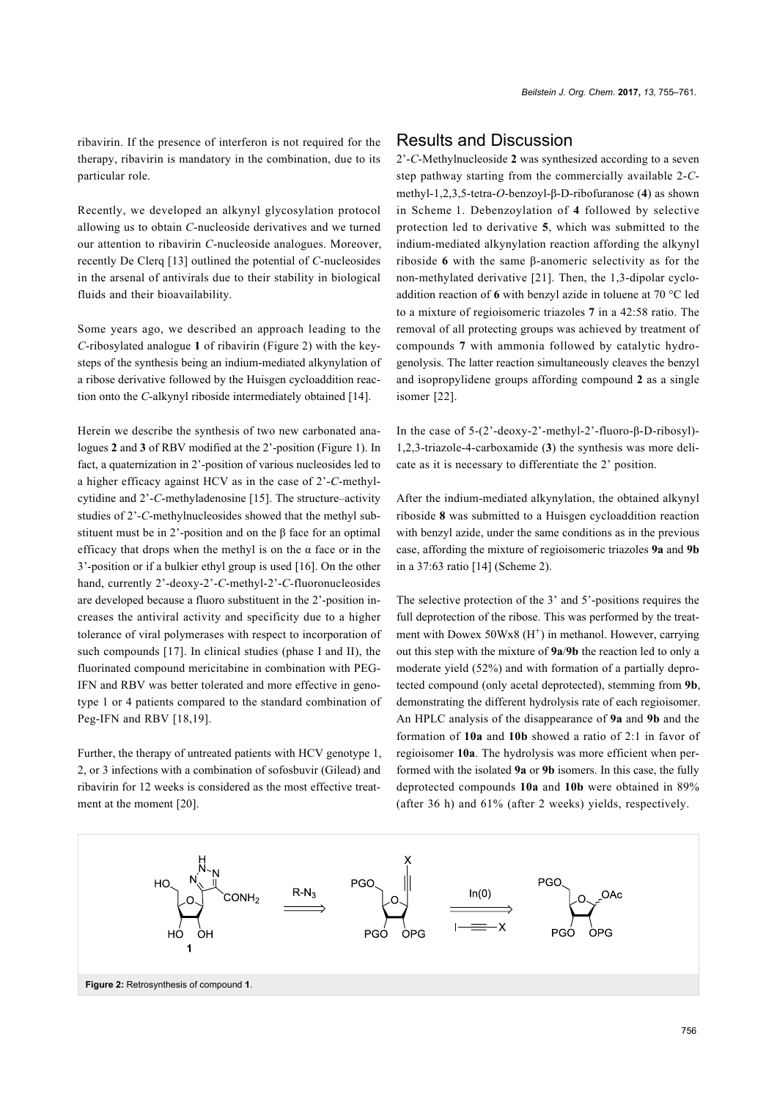ribavirin. If the presence of interferon is not required for the therapy, ribavirin is mandatory in the combination, due to its particular role.

Recently, we developed an alkynyl glycosylation protocol allowing us to obtain *C*-nucleoside derivatives and we turned our attention to ribavirin *C*-nucleoside analogues. Moreover, recently De Clerq [\[13\]](#page-6-5) outlined the potential of *C*-nucleosides in the arsenal of antivirals due to their stability in biological fluids and their bioavailability.

Some years ago, we described an approach leading to the *C*-ribosylated analogue **1** of ribavirin ([Figure 2\)](#page-1-0) with the keysteps of the synthesis being an indium-mediated alkynylation of a ribose derivative followed by the Huisgen cycloaddition reaction onto the *C*-alkynyl riboside intermediately obtained [\[14\]](#page-6-6).

Herein we describe the synthesis of two new carbonated analogues **2** and **3** of RBV modified at the 2'-position [\(Figure 1](#page-0-0)). In fact, a quaternization in 2'-position of various nucleosides led to a higher efficacy against HCV as in the case of 2'-*C*-methylcytidine and 2'-*C*-methyladenosine [\[15\]](#page-6-7). The structure–activity studies of 2'-*C*-methylnucleosides showed that the methyl substituent must be in 2'-position and on the β face for an optimal efficacy that drops when the methyl is on the  $\alpha$  face or in the 3'-position or if a bulkier ethyl group is used [\[16\]](#page-6-8). On the other hand, currently 2'-deoxy-2'-*C*-methyl-2'-*C-*fluoronucleosides are developed because a fluoro substituent in the 2'-position increases the antiviral activity and specificity due to a higher tolerance of viral polymerases with respect to incorporation of such compounds [\[17\].](#page-6-9) In clinical studies (phase I and II), the fluorinated compound mericitabine in combination with PEG-IFN and RBV was better tolerated and more effective in genotype 1 or 4 patients compared to the standard combination of Peg-IFN and RBV [\[18,19\].](#page-6-10)

Further, the therapy of untreated patients with HCV genotype 1, 2, or 3 infections with a combination of sofosbuvir (Gilead) and ribavirin for 12 weeks is considered as the most effective treatment at the moment [\[20\]](#page-6-11).

#### Results and Discussion

2'-*C*-Methylnucleoside **2** was synthesized according to a seven step pathway starting from the commercially available 2-*C*methyl-1,2,3,5-tetra-*O*-benzoyl-β-D-ribofuranose (**4**) as shown in [Scheme 1](#page-2-0). Debenzoylation of **4** followed by selective protection led to derivative **5**, which was submitted to the indium-mediated alkynylation reaction affording the alkynyl riboside **6** with the same β-anomeric selectivity as for the non-methylated derivative [\[21\]](#page-6-12). Then, the 1,3-dipolar cycloaddition reaction of **6** with benzyl azide in toluene at 70 °C led to a mixture of regioisomeric triazoles **7** in a 42:58 ratio. The removal of all protecting groups was achieved by treatment of compounds **7** with ammonia followed by catalytic hydrogenolysis. The latter reaction simultaneously cleaves the benzyl and isopropylidene groups affording compound **2** as a single isomer [\[22\].](#page-6-13)

In the case of 5-(2'-deoxy-2'-methyl-2'-fluoro-β-D-ribosyl)- 1,2,3-triazole-4-carboxamide (**3**) the synthesis was more delicate as it is necessary to differentiate the 2' position.

After the indium-mediated alkynylation, the obtained alkynyl riboside **8** was submitted to a Huisgen cycloaddition reaction with benzyl azide, under the same conditions as in the previous case, affording the mixture of regioisomeric triazoles **9a** and **9b** in a 37:63 ratio [\[14\]](#page-6-6) ([Scheme 2](#page-2-1)).

The selective protection of the 3' and 5'-positions requires the full deprotection of the ribose. This was performed by the treatment with Dowex 50Wx8 (H<sup>+</sup>) in methanol. However, carrying out this step with the mixture of **9a**/**9b** the reaction led to only a moderate yield (52%) and with formation of a partially deprotected compound (only acetal deprotected), stemming from **9b**, demonstrating the different hydrolysis rate of each regioisomer. An HPLC analysis of the disappearance of **9a** and **9b** and the formation of **10a** and **10b** showed a ratio of 2:1 in favor of regioisomer **10a**. The hydrolysis was more efficient when performed with the isolated **9a** or **9b** isomers. In this case, the fully deprotected compounds **10a** and **10b** were obtained in 89% (after 36 h) and 61% (after 2 weeks) yields, respectively.

<span id="page-1-0"></span>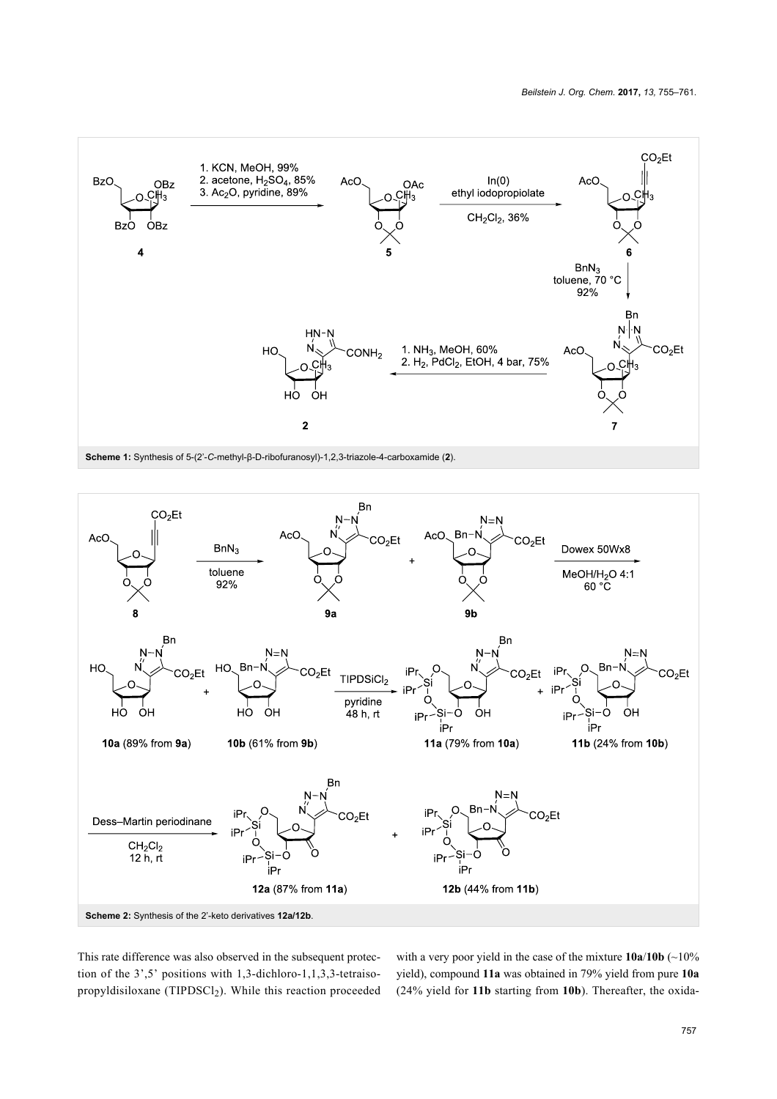<span id="page-2-0"></span>

<span id="page-2-1"></span>

This rate difference was also observed in the subsequent protection of the 3',5' positions with 1,3-dichloro-1,1,3,3-tetraisopropyldisiloxane (TIPDSCl<sub>2</sub>). While this reaction proceeded with a very poor yield in the case of the mixture **10a**/**10b** (~10% yield), compound **11a** was obtained in 79% yield from pure **10a** (24% yield for **11b** starting from **10b**). Thereafter, the oxida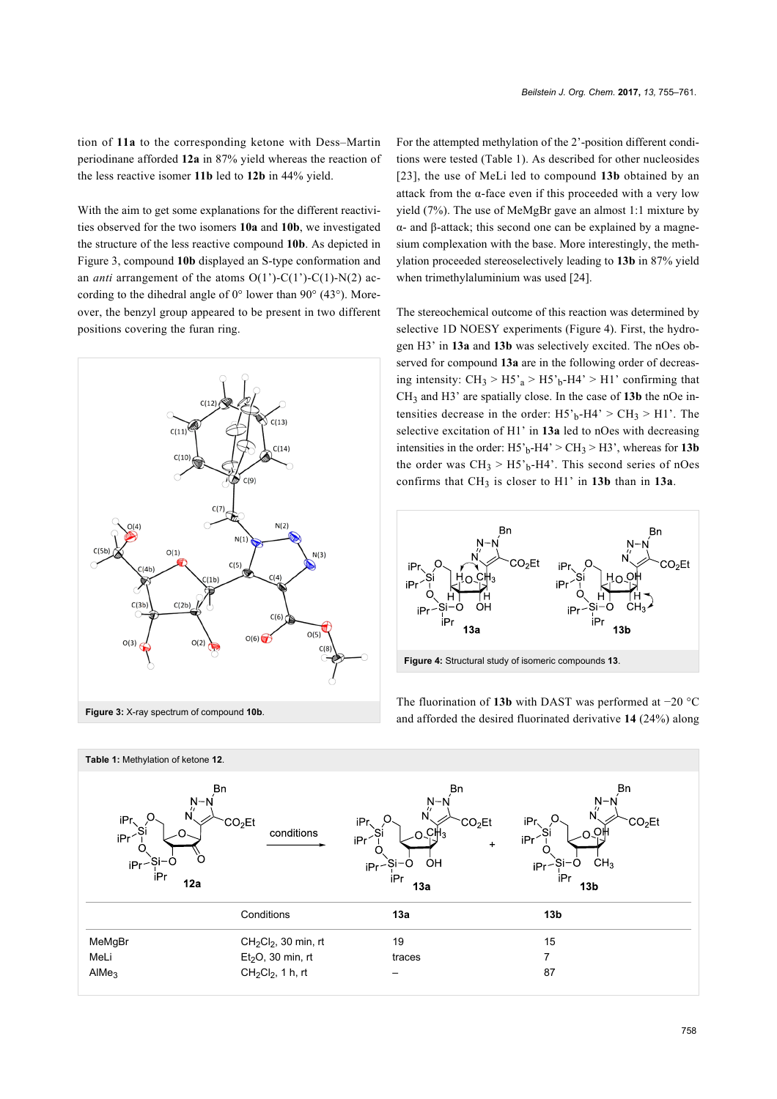tion of **11a** to the corresponding ketone with Dess–Martin periodinane afforded **12a** in 87% yield whereas the reaction of the less reactive isomer **11b** led to **12b** in 44% yield.

With the aim to get some explanations for the different reactivities observed for the two isomers **10a** and **10b**, we investigated the structure of the less reactive compound **10b**. As depicted in [Figure 3](#page-3-0), compound **10b** displayed an S-type conformation and an *anti* arrangement of the atoms O(1')-C(1')-C(1)-N(2) according to the dihedral angle of  $0^{\circ}$  lower than  $90^{\circ}$  (43°). Moreover, the benzyl group appeared to be present in two different positions covering the furan ring.

<span id="page-3-0"></span>

For the attempted methylation of the 2'-position different conditions were tested ([Table 1](#page-3-1)). As described for other nucleosides [\[23\]](#page-6-14), the use of MeLi led to compound **13b** obtained by an attack from the α-face even if this proceeded with a very low yield (7%). The use of MeMgBr gave an almost 1:1 mixture by α- and β-attack; this second one can be explained by a magnesium complexation with the base. More interestingly, the methylation proceeded stereoselectively leading to **13b** in 87% yield when trimethylaluminium was used [\[24\]](#page-6-15).

The stereochemical outcome of this reaction was determined by selective 1D NOESY experiments [\(Figure 4](#page-3-2)). First, the hydrogen H3' in **13a** and **13b** was selectively excited. The nOes observed for compound **13a** are in the following order of decreasing intensity:  $CH_3 > H5'_a > H5'_b-H4' > H1'$  confirming that CH3 and H3' are spatially close. In the case of **13b** the nOe intensities decrease in the order:  $H5<sub>b</sub>-H4' > CH<sub>3</sub> > H1'$ . The selective excitation of H1' in **13a** led to nOes with decreasing intensities in the order:  $H5<sup>3</sup>_{b}$ -H4' > CH<sub>3</sub> > H3', whereas for **13b** the order was  $CH_3 > H_5$ <sup>1</sup><sub>b</sub>-H4<sup>2</sup>. This second series of nOes confirms that  $CH_3$  is closer to  $H1'$  in **13b** than in **13a**.

<span id="page-3-2"></span>

The fluorination of **13b** with DAST was performed at −20 °C and afforded the desired fluorinated derivative **14** (24%) along

<span id="page-3-1"></span>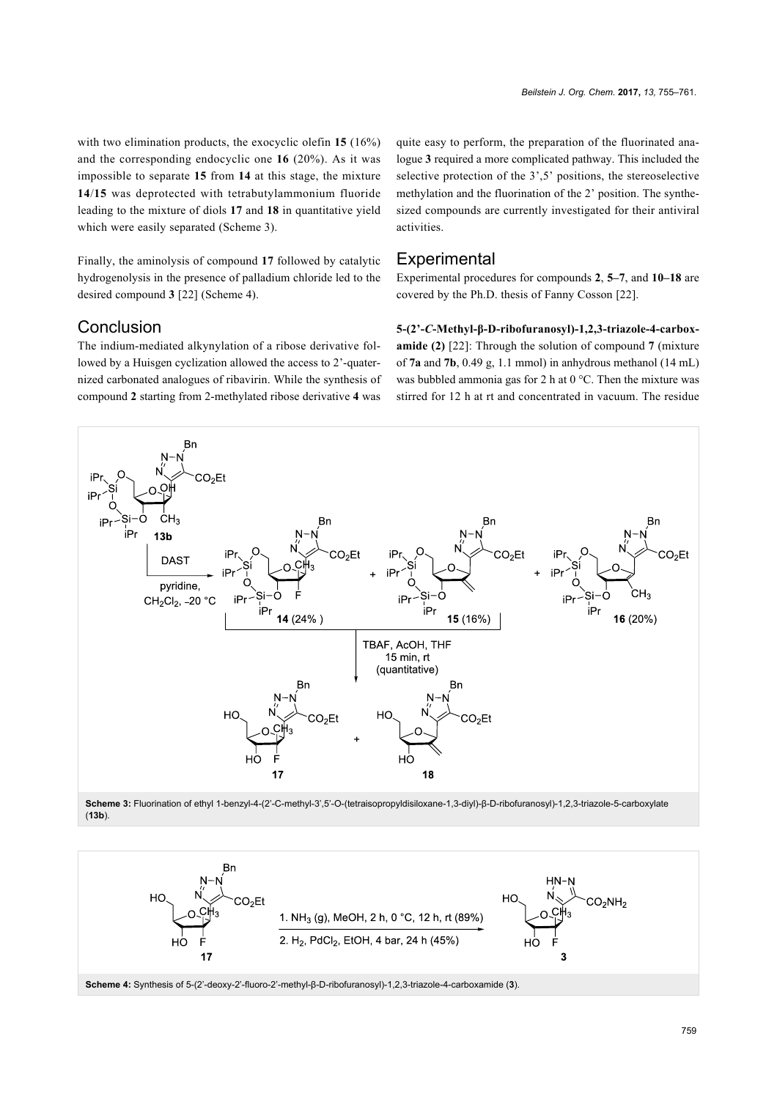with two elimination products, the exocyclic olefin **15** (16%) and the corresponding endocyclic one **16** (20%). As it was impossible to separate **15** from **14** at this stage, the mixture **14**/**15** was deprotected with tetrabutylammonium fluoride leading to the mixture of diols **17** and **18** in quantitative yield which were easily separated ([Scheme 3](#page-4-0)).

Finally, the aminolysis of compound **17** followed by catalytic hydrogenolysis in the presence of palladium chloride led to the desired compound **3** [\[22\]](#page-6-13) [\(Scheme 4\)](#page-4-1).

#### Conclusion

The indium-mediated alkynylation of a ribose derivative followed by a Huisgen cyclization allowed the access to 2'-quaternized carbonated analogues of ribavirin. While the synthesis of compound **2** starting from 2-methylated ribose derivative **4** was

quite easy to perform, the preparation of the fluorinated analogue **3** required a more complicated pathway. This included the selective protection of the 3',5' positions, the stereoselective methylation and the fluorination of the 2' position. The synthesized compounds are currently investigated for their antiviral activities.

#### **Experimental**

Experimental procedures for compounds **2**, **5–7**, and **10–18** are covered by the Ph.D. thesis of Fanny Cosson [\[22\].](#page-6-13)

**5-(2'-***C***-Methyl-β-D-ribofuranosyl)-1,2,3-triazole-4-carboxamide (2)** [\[22\]](#page-6-13): Through the solution of compound **7** (mixture of **7a** and **7b**, 0.49 g, 1.1 mmol) in anhydrous methanol (14 mL) was bubbled ammonia gas for 2 h at 0 °C. Then the mixture was stirred for 12 h at rt and concentrated in vacuum. The residue

<span id="page-4-0"></span>

<span id="page-4-1"></span>**Scheme 3:** Fluorination of ethyl 1-benzyl-4-(2'-C-methyl-3',5'-O-(tetraisopropyldisiloxane-1,3-diyl)-β-D-ribofuranosyl)-1,2,3-triazole-5-carboxylate (**13b**).

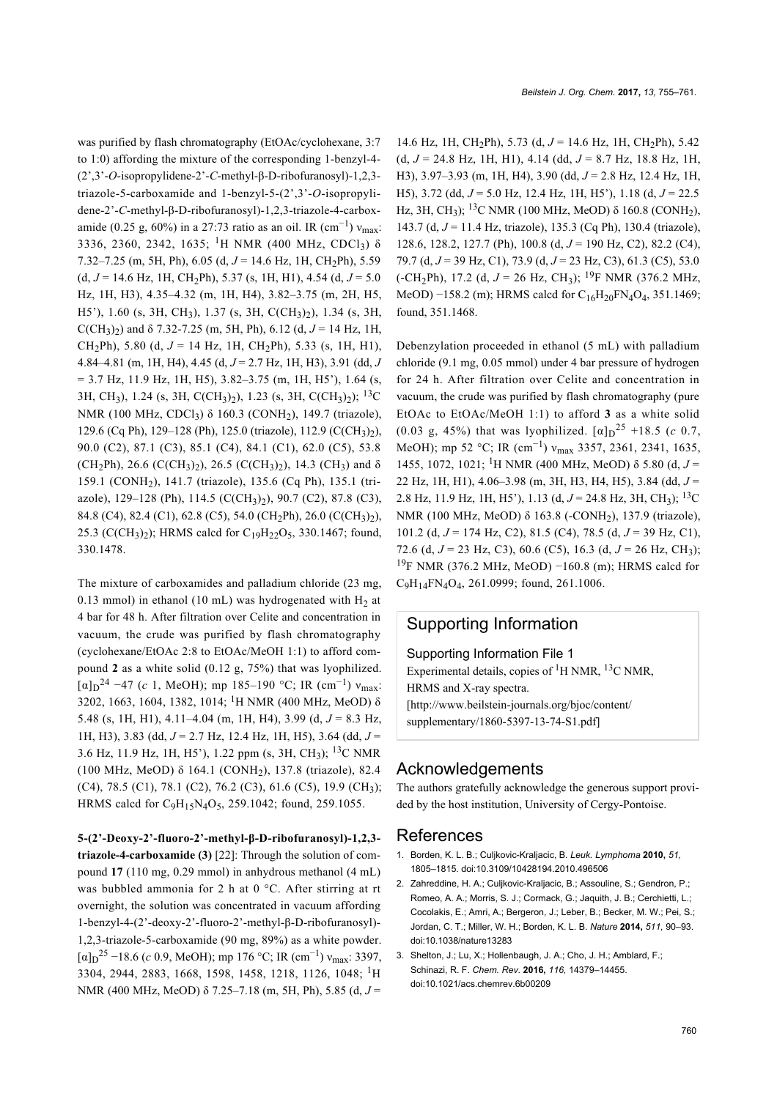was purified by flash chromatography (EtOAc/cyclohexane, 3:7 to 1:0) affording the mixture of the corresponding 1-benzyl-4- (2',3'-*O*-isopropylidene-2'-*C*-methyl-β-D-ribofuranosyl)-1,2,3 triazole-5-carboxamide and 1-benzyl-5-(2',3'-*O*-isopropylidene-2'-*C*-methyl-β-D-ribofuranosyl)-1,2,3-triazole-4-carboxamide (0.25 g, 60%) in a 27:73 ratio as an oil. IR (cm<sup>-1</sup>)  $v_{\text{max}}$ : 3336, 2360, 2342, 1635; <sup>1</sup>H NMR (400 MHz, CDCl<sub>3</sub>)  $\delta$ 7.32–7.25 (m, 5H, Ph), 6.05 (d, *J* = 14.6 Hz, 1H, CH2Ph), 5.59  $(d, J = 14.6 \text{ Hz}, 1H, CH_2Ph), 5.37 \text{ (s, 1H, H1)}, 4.54 \text{ (d, } J = 5.0$ Hz, 1H, H3), 4.35–4.32 (m, 1H, H4), 3.82–3.75 (m, 2H, H5, H5'), 1.60 (s, 3H, CH3), 1.37 (s, 3H, C(CH3)2), 1.34 (s, 3H, C(CH<sub>3</sub>)<sub>2</sub>) and  $\delta$  7.32-7.25 (m, 5H, Ph), 6.12 (d,  $J = 14$  Hz, 1H, CH<sub>2</sub>Ph), 5.80 (d,  $J = 14$  Hz, 1H, CH<sub>2</sub>Ph), 5.33 (s, 1H, H1), 4.84–4.81 (m, 1H, H4), 4.45 (d, *J* = 2.7 Hz, 1H, H3), 3.91 (dd, *J*  $= 3.7$  Hz, 11.9 Hz, 1H, H5),  $3.82 - 3.75$  (m, 1H, H5'), 1.64 (s, 3H, CH3), 1.24 (s, 3H, C(CH3)2), 1.23 (s, 3H, C(CH3)2); 13C NMR (100 MHz, CDCl3) δ 160.3 (CONH2), 149.7 (triazole), 129.6 (Cq Ph), 129–128 (Ph), 125.0 (triazole), 112.9 (C(CH<sub>3</sub>)<sub>2</sub>), 90.0 (C2), 87.1 (C3), 85.1 (C4), 84.1 (C1), 62.0 (C5), 53.8 (CH<sub>2</sub>Ph), 26.6 (C(CH<sub>3</sub>)<sub>2</sub>), 26.5 (C(CH<sub>3</sub>)<sub>2</sub>), 14.3 (CH<sub>3</sub>) and  $\delta$ 159.1 (CONH2), 141.7 (triazole), 135.6 (Cq Ph), 135.1 (triazole), 129–128 (Ph), 114.5 (C(CH<sub>3</sub>)<sub>2</sub>), 90.7 (C2), 87.8 (C3), 84.8 (C4), 82.4 (C1), 62.8 (C5), 54.0 (CH2Ph), 26.0 (C(CH3)2), 25.3 (C(CH<sub>3</sub>)<sub>2</sub>); HRMS calcd for C<sub>19</sub>H<sub>22</sub>O<sub>5</sub>, 330.1467; found, 330.1478.

The mixture of carboxamides and palladium chloride (23 mg, 0.13 mmol) in ethanol (10 mL) was hydrogenated with  $H<sub>2</sub>$  at 4 bar for 48 h. After filtration over Celite and concentration in vacuum, the crude was purified by flash chromatography (cyclohexane/EtOAc 2:8 to EtOAc/MeOH 1:1) to afford compound **2** as a white solid (0.12 g, 75%) that was lyophilized.  $[\alpha]_D^2$ <sup>4</sup> –47 (*c* 1, MeOH); mp 185–190 °C; IR (cm<sup>-1</sup>)  $v_{\text{max}}$ : 3202, 1663, 1604, 1382, 1014; 1H NMR (400 MHz, MeOD) δ 5.48 (s, 1H, H1), 4.11–4.04 (m, 1H, H4), 3.99 (d, *J* = 8.3 Hz, 1H, H3), 3.83 (dd, *J* = 2.7 Hz, 12.4 Hz, 1H, H5), 3.64 (dd, *J* = 3.6 Hz, 11.9 Hz, 1H, H5'), 1.22 ppm (s, 3H, CH3); 13C NMR (100 MHz, MeOD) δ 164.1 (CONH<sup>2</sup> ), 137.8 (triazole), 82.4 (C4), 78.5 (C1), 78.1 (C2), 76.2 (C3), 61.6 (C5), 19.9 (CH<sup>3</sup> ); HRMS calcd for  $C_9H_{15}N_4O_5$ , 259.1042; found, 259.1055.

**5-(2'-Deoxy-2'-fluoro-2'-methyl-β-D-ribofuranosyl)-1,2,3 triazole-4-carboxamide (3)** [\[22\]:](#page-6-13) Through the solution of compound **17** (110 mg, 0.29 mmol) in anhydrous methanol (4 mL) was bubbled ammonia for 2 h at 0 °C. After stirring at rt overnight, the solution was concentrated in vacuum affording 1-benzyl-4-(2'-deoxy-2'-fluoro-2'-methyl-β-D-ribofuranosyl)- 1,2,3-triazole-5-carboxamide (90 mg, 89%) as a white powder.  $[\alpha]_D^{25}$  –18.6 (*c* 0.9, MeOH); mp 176 °C; IR (cm<sup>-1</sup>) v<sub>max</sub>: 3397, 3304, 2944, 2883, 1668, 1598, 1458, 1218, 1126, 1048; 1H NMR (400 MHz, MeOD) δ 7.25–7.18 (m, 5H, Ph), 5.85 (d, *J* =

14.6 Hz, 1H, CH<sub>2</sub>Ph), 5.73 (d,  $J = 14.6$  Hz, 1H, CH<sub>2</sub>Ph), 5.42 (d, *J* = 24.8 Hz, 1H, H1), 4.14 (dd, *J* = 8.7 Hz, 18.8 Hz, 1H, H3), 3.97–3.93 (m, 1H, H4), 3.90 (dd, *J* = 2.8 Hz, 12.4 Hz, 1H, H5), 3.72 (dd, *J* = 5.0 Hz, 12.4 Hz, 1H, H5'), 1.18 (d, *J* = 22.5 Hz, 3H, CH<sub>3</sub>); <sup>13</sup>C NMR (100 MHz, MeOD) δ 160.8 (CONH<sub>2</sub>), 143.7 (d, *J* = 11.4 Hz, triazole), 135.3 (Cq Ph), 130.4 (triazole), 128.6, 128.2, 127.7 (Ph), 100.8 (d, *J* = 190 Hz, C2), 82.2 (C4), 79.7 (d, *J* = 39 Hz, C1), 73.9 (d, *J* = 23 Hz, C3), 61.3 (C5), 53.0  $(-CH<sub>2</sub>Ph)$ , 17.2 (d,  $J = 26$  Hz, CH<sub>3</sub>); <sup>19</sup>F NMR (376.2 MHz, MeOD)  $-158.2$  (m); HRMS calcd for  $C_{16}H_{20}FN_4O_4$ , 351.1469; found, 351.1468.

Debenzylation proceeded in ethanol (5 mL) with palladium chloride (9.1 mg, 0.05 mmol) under 4 bar pressure of hydrogen for 24 h. After filtration over Celite and concentration in vacuum, the crude was purified by flash chromatography (pure EtOAc to EtOAc/MeOH 1:1) to afford **3** as a white solid (0.03 g, 45%) that was lyophilized.  $[\alpha]_D^{25}$  +18.5 (*c* 0.7, MeOH); mp 52 °C; IR (cm<sup>-1</sup>) v<sub>max</sub> 3357, 2361, 2341, 1635, 1455, 1072, 1021; 1H NMR (400 MHz, MeOD) δ 5.80 (d, *J* = 22 Hz, 1H, H1), 4.06–3.98 (m, 3H, H3, H4, H5), 3.84 (dd, *J* = 2.8 Hz, 11.9 Hz, 1H, H5'), 1.13 (d, *J* = 24.8 Hz, 3H, CH3); 13C NMR (100 MHz, MeOD) δ 163.8 (-CONH2), 137.9 (triazole), 101.2 (d, *J* = 174 Hz, C2), 81.5 (C4), 78.5 (d, *J* = 39 Hz, C1), 72.6 (d, *J* = 23 Hz, C3), 60.6 (C5), 16.3 (d, *J* = 26 Hz, CH3); <sup>19</sup>F NMR (376.2 MHz, MeOD) –160.8 (m); HRMS calcd for C9H14FN4O4, 261.0999; found, 261.1006.

## Supporting Information

Supporting Information File 1

Experimental details, copies of  ${}^{1}$ H NMR,  ${}^{13}$ C NMR, HRMS and X-ray spectra. [\[http://www.beilstein-journals.org/bjoc/content/](http://www.beilstein-journals.org/bjoc/content/supplementary/1860-5397-13-74-S1.pdf) [supplementary/1860-5397-13-74-S1.pdf\]](http://www.beilstein-journals.org/bjoc/content/supplementary/1860-5397-13-74-S1.pdf)

#### Acknowledgements

The authors gratefully acknowledge the generous support provided by the host institution, University of Cergy-Pontoise.

#### References

- <span id="page-5-0"></span>1. Borden, K. L. B.; Culjkovic-Kraljacic, B. *Leuk. Lymphoma* **2010,** *51,* 1805–1815. [doi:10.3109/10428194.2010.496506](https://doi.org/10.3109%2F10428194.2010.496506)
- 2. Zahreddine, H. A.; Culjkovic-Kraljacic, B.; Assouline, S.; Gendron, P.; Romeo, A. A.; Morris, S. J.; Cormack, G.; Jaquith, J. B.; Cerchietti, L.; Cocolakis, E.; Amri, A.; Bergeron, J.; Leber, B.; Becker, M. W.; Pei, S.; Jordan, C. T.; Miller, W. H.; Borden, K. L. B. *Nature* **2014,** *511,* 90–93. [doi:10.1038/nature13283](https://doi.org/10.1038%2Fnature13283)
- 3. Shelton, J.; Lu, X.; Hollenbaugh, J. A.; Cho, J. H.; Amblard, F.; Schinazi, R. F. *Chem. Rev.* **2016,** *116,* 14379–14455. [doi:10.1021/acs.chemrev.6b00209](https://doi.org/10.1021%2Facs.chemrev.6b00209)